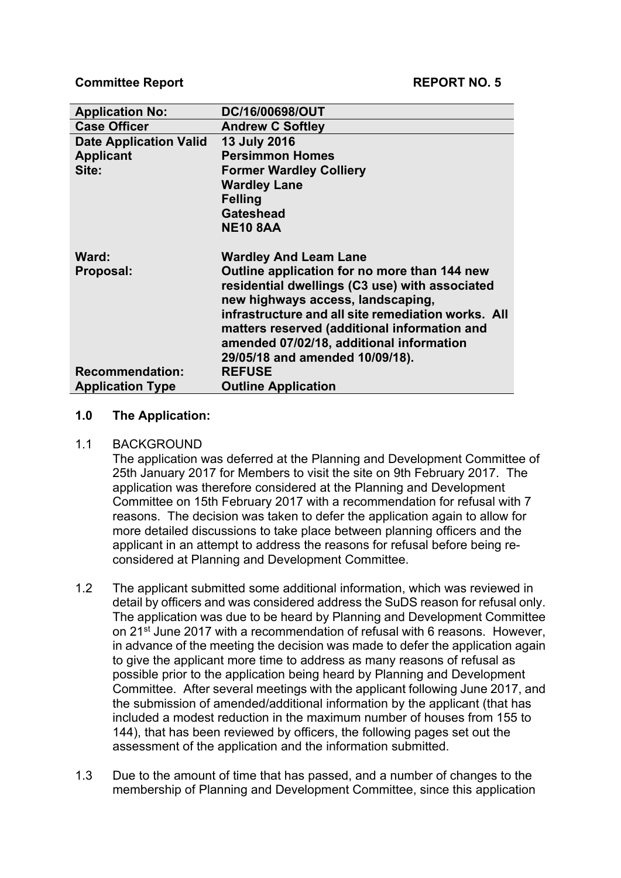| <b>Application No:</b>        | DC/16/00698/OUT                                    |
|-------------------------------|----------------------------------------------------|
| <b>Case Officer</b>           | <b>Andrew C Softley</b>                            |
| <b>Date Application Valid</b> | <b>13 July 2016</b>                                |
| <b>Applicant</b>              | <b>Persimmon Homes</b>                             |
| Site:                         | <b>Former Wardley Colliery</b>                     |
|                               | <b>Wardley Lane</b>                                |
|                               | <b>Felling</b>                                     |
|                               | <b>Gateshead</b>                                   |
|                               | <b>NE10 8AA</b>                                    |
| Ward:                         | <b>Wardley And Leam Lane</b>                       |
| Proposal:                     | Outline application for no more than 144 new       |
|                               | residential dwellings (C3 use) with associated     |
|                               | new highways access, landscaping,                  |
|                               | infrastructure and all site remediation works. All |
|                               | matters reserved (additional information and       |
|                               |                                                    |
|                               | amended 07/02/18, additional information           |
|                               | 29/05/18 and amended 10/09/18).                    |
| <b>Recommendation:</b>        | <b>REFUSE</b>                                      |

### **1.0 The Application:**

#### 1.1 BACKGROUND

The application was deferred at the Planning and Development Committee of 25th January 2017 for Members to visit the site on 9th February 2017. The application was therefore considered at the Planning and Development Committee on 15th February 2017 with a recommendation for refusal with 7 reasons. The decision was taken to defer the application again to allow for more detailed discussions to take place between planning officers and the applicant in an attempt to address the reasons for refusal before being reconsidered at Planning and Development Committee.

- 1.2 The applicant submitted some additional information, which was reviewed in detail by officers and was considered address the SuDS reason for refusal only. The application was due to be heard by Planning and Development Committee on 21st June 2017 with a recommendation of refusal with 6 reasons. However, in advance of the meeting the decision was made to defer the application again to give the applicant more time to address as many reasons of refusal as possible prior to the application being heard by Planning and Development Committee. After several meetings with the applicant following June 2017, and the submission of amended/additional information by the applicant (that has included a modest reduction in the maximum number of houses from 155 to 144), that has been reviewed by officers, the following pages set out the assessment of the application and the information submitted.
- 1.3 Due to the amount of time that has passed, and a number of changes to the membership of Planning and Development Committee, since this application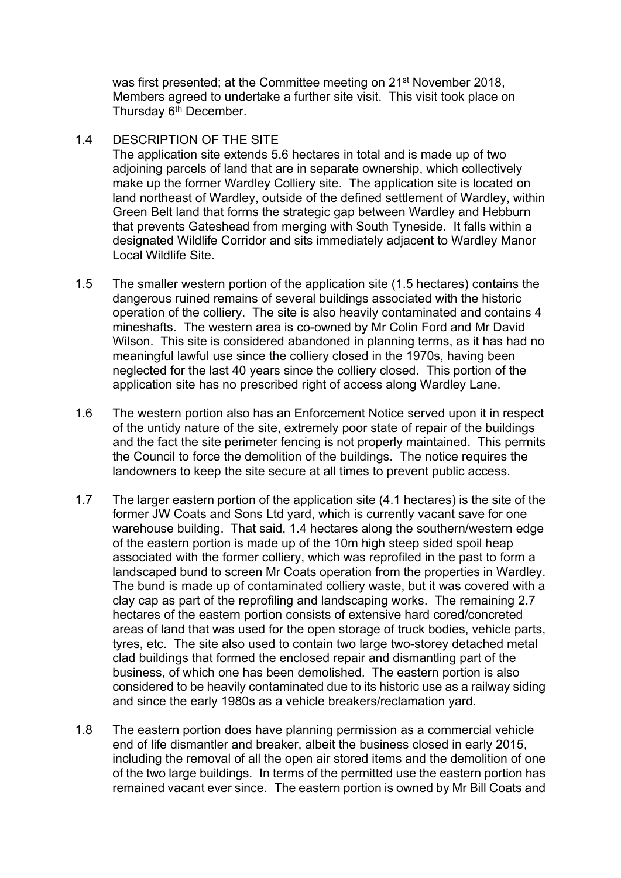was first presented; at the Committee meeting on 21<sup>st</sup> November 2018, Members agreed to undertake a further site visit. This visit took place on Thursday 6<sup>th</sup> December.

### 1.4 DESCRIPTION OF THE SITE

The application site extends 5.6 hectares in total and is made up of two adjoining parcels of land that are in separate ownership, which collectively make up the former Wardley Colliery site. The application site is located on land northeast of Wardley, outside of the defined settlement of Wardley, within Green Belt land that forms the strategic gap between Wardley and Hebburn that prevents Gateshead from merging with South Tyneside. It falls within a designated Wildlife Corridor and sits immediately adjacent to Wardley Manor Local Wildlife Site.

- 1.5 The smaller western portion of the application site (1.5 hectares) contains the dangerous ruined remains of several buildings associated with the historic operation of the colliery. The site is also heavily contaminated and contains 4 mineshafts. The western area is co-owned by Mr Colin Ford and Mr David Wilson. This site is considered abandoned in planning terms, as it has had no meaningful lawful use since the colliery closed in the 1970s, having been neglected for the last 40 years since the colliery closed. This portion of the application site has no prescribed right of access along Wardley Lane.
- 1.6 The western portion also has an Enforcement Notice served upon it in respect of the untidy nature of the site, extremely poor state of repair of the buildings and the fact the site perimeter fencing is not properly maintained. This permits the Council to force the demolition of the buildings. The notice requires the landowners to keep the site secure at all times to prevent public access.
- 1.7 The larger eastern portion of the application site (4.1 hectares) is the site of the former JW Coats and Sons Ltd yard, which is currently vacant save for one warehouse building. That said, 1.4 hectares along the southern/western edge of the eastern portion is made up of the 10m high steep sided spoil heap associated with the former colliery, which was reprofiled in the past to form a landscaped bund to screen Mr Coats operation from the properties in Wardley. The bund is made up of contaminated colliery waste, but it was covered with a clay cap as part of the reprofiling and landscaping works. The remaining 2.7 hectares of the eastern portion consists of extensive hard cored/concreted areas of land that was used for the open storage of truck bodies, vehicle parts, tyres, etc. The site also used to contain two large two-storey detached metal clad buildings that formed the enclosed repair and dismantling part of the business, of which one has been demolished. The eastern portion is also considered to be heavily contaminated due to its historic use as a railway siding and since the early 1980s as a vehicle breakers/reclamation yard.
- 1.8 The eastern portion does have planning permission as a commercial vehicle end of life dismantler and breaker, albeit the business closed in early 2015, including the removal of all the open air stored items and the demolition of one of the two large buildings. In terms of the permitted use the eastern portion has remained vacant ever since. The eastern portion is owned by Mr Bill Coats and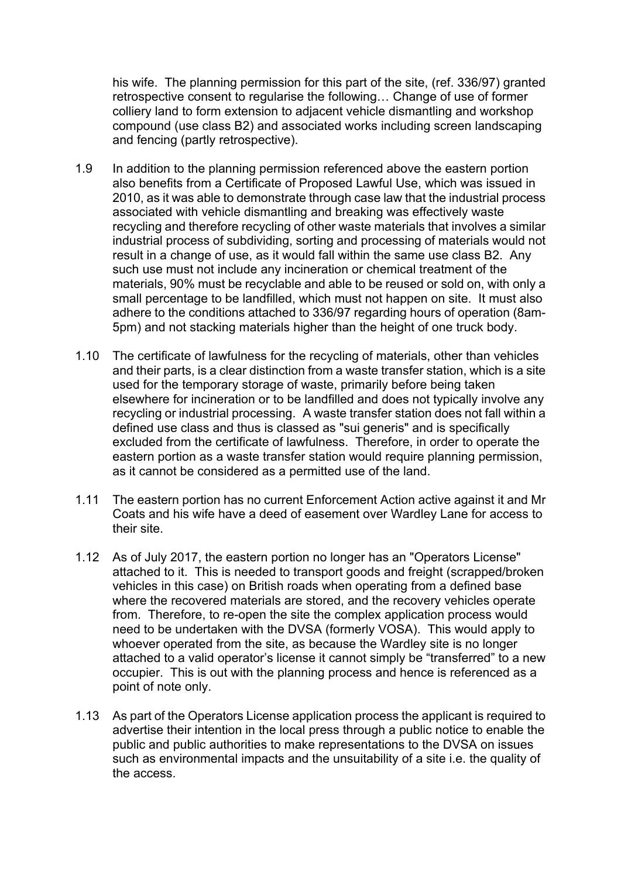his wife. The planning permission for this part of the site, (ref. 336/97) granted retrospective consent to regularise the following… Change of use of former colliery land to form extension to adjacent vehicle dismantling and workshop compound (use class B2) and associated works including screen landscaping and fencing (partly retrospective).

- 1.9 In addition to the planning permission referenced above the eastern portion also benefits from a Certificate of Proposed Lawful Use, which was issued in 2010, as it was able to demonstrate through case law that the industrial process associated with vehicle dismantling and breaking was effectively waste recycling and therefore recycling of other waste materials that involves a similar industrial process of subdividing, sorting and processing of materials would not result in a change of use, as it would fall within the same use class B2. Any such use must not include any incineration or chemical treatment of the materials, 90% must be recyclable and able to be reused or sold on, with only a small percentage to be landfilled, which must not happen on site. It must also adhere to the conditions attached to 336/97 regarding hours of operation (8am-5pm) and not stacking materials higher than the height of one truck body.
- 1.10 The certificate of lawfulness for the recycling of materials, other than vehicles and their parts, is a clear distinction from a waste transfer station, which is a site used for the temporary storage of waste, primarily before being taken elsewhere for incineration or to be landfilled and does not typically involve any recycling or industrial processing. A waste transfer station does not fall within a defined use class and thus is classed as "sui generis" and is specifically excluded from the certificate of lawfulness. Therefore, in order to operate the eastern portion as a waste transfer station would require planning permission, as it cannot be considered as a permitted use of the land.
- 1.11 The eastern portion has no current Enforcement Action active against it and Mr Coats and his wife have a deed of easement over Wardley Lane for access to their site.
- 1.12 As of July 2017, the eastern portion no longer has an "Operators License" attached to it. This is needed to transport goods and freight (scrapped/broken vehicles in this case) on British roads when operating from a defined base where the recovered materials are stored, and the recovery vehicles operate from. Therefore, to re-open the site the complex application process would need to be undertaken with the DVSA (formerly VOSA). This would apply to whoever operated from the site, as because the Wardley site is no longer attached to a valid operator's license it cannot simply be "transferred" to a new occupier. This is out with the planning process and hence is referenced as a point of note only.
- 1.13 As part of the Operators License application process the applicant is required to advertise their intention in the local press through a public notice to enable the public and public authorities to make representations to the DVSA on issues such as environmental impacts and the unsuitability of a site i.e. the quality of the access.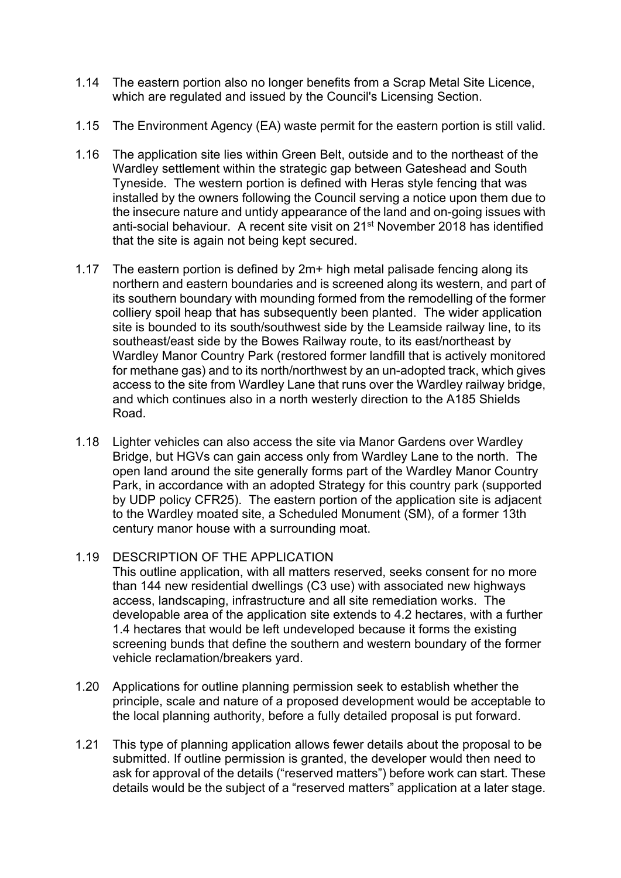- 1.14 The eastern portion also no longer benefits from a Scrap Metal Site Licence, which are regulated and issued by the Council's Licensing Section.
- 1.15 The Environment Agency (EA) waste permit for the eastern portion is still valid.
- 1.16 The application site lies within Green Belt, outside and to the northeast of the Wardley settlement within the strategic gap between Gateshead and South Tyneside. The western portion is defined with Heras style fencing that was installed by the owners following the Council serving a notice upon them due to the insecure nature and untidy appearance of the land and on-going issues with anti-social behaviour. A recent site visit on 21st November 2018 has identified that the site is again not being kept secured.
- 1.17 The eastern portion is defined by 2m+ high metal palisade fencing along its northern and eastern boundaries and is screened along its western, and part of its southern boundary with mounding formed from the remodelling of the former colliery spoil heap that has subsequently been planted. The wider application site is bounded to its south/southwest side by the Leamside railway line, to its southeast/east side by the Bowes Railway route, to its east/northeast by Wardley Manor Country Park (restored former landfill that is actively monitored for methane gas) and to its north/northwest by an un-adopted track, which gives access to the site from Wardley Lane that runs over the Wardley railway bridge, and which continues also in a north westerly direction to the A185 Shields Road.
- 1.18 Lighter vehicles can also access the site via Manor Gardens over Wardley Bridge, but HGVs can gain access only from Wardley Lane to the north. The open land around the site generally forms part of the Wardley Manor Country Park, in accordance with an adopted Strategy for this country park (supported by UDP policy CFR25). The eastern portion of the application site is adjacent to the Wardley moated site, a Scheduled Monument (SM), of a former 13th century manor house with a surrounding moat.

# 1.19 DESCRIPTION OF THE APPLICATION

This outline application, with all matters reserved, seeks consent for no more than 144 new residential dwellings (C3 use) with associated new highways access, landscaping, infrastructure and all site remediation works. The developable area of the application site extends to 4.2 hectares, with a further 1.4 hectares that would be left undeveloped because it forms the existing screening bunds that define the southern and western boundary of the former vehicle reclamation/breakers yard.

- 1.20 Applications for outline planning permission seek to establish whether the principle, scale and nature of a proposed development would be acceptable to the local planning authority, before a fully detailed proposal is put forward.
- 1.21 This type of planning application allows fewer details about the proposal to be submitted. If outline permission is granted, the developer would then need to ask for approval of the details ("reserved matters") before work can start. These details would be the subject of a "reserved matters" application at a later stage.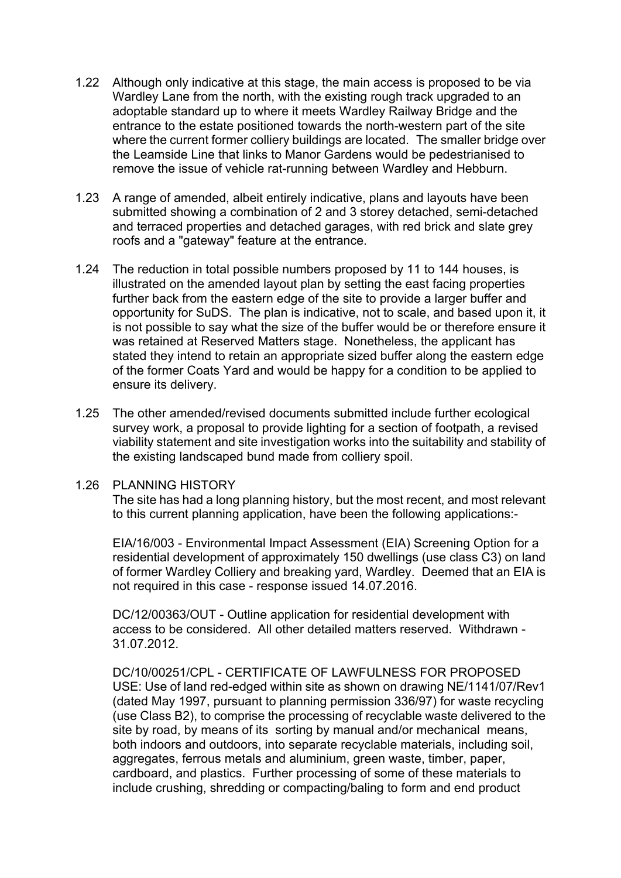- 1.22 Although only indicative at this stage, the main access is proposed to be via Wardley Lane from the north, with the existing rough track upgraded to an adoptable standard up to where it meets Wardley Railway Bridge and the entrance to the estate positioned towards the north-western part of the site where the current former colliery buildings are located. The smaller bridge over the Leamside Line that links to Manor Gardens would be pedestrianised to remove the issue of vehicle rat-running between Wardley and Hebburn.
- 1.23 A range of amended, albeit entirely indicative, plans and layouts have been submitted showing a combination of 2 and 3 storey detached, semi-detached and terraced properties and detached garages, with red brick and slate grey roofs and a "gateway" feature at the entrance.
- 1.24 The reduction in total possible numbers proposed by 11 to 144 houses, is illustrated on the amended layout plan by setting the east facing properties further back from the eastern edge of the site to provide a larger buffer and opportunity for SuDS. The plan is indicative, not to scale, and based upon it, it is not possible to say what the size of the buffer would be or therefore ensure it was retained at Reserved Matters stage. Nonetheless, the applicant has stated they intend to retain an appropriate sized buffer along the eastern edge of the former Coats Yard and would be happy for a condition to be applied to ensure its delivery.
- 1.25 The other amended/revised documents submitted include further ecological survey work, a proposal to provide lighting for a section of footpath, a revised viability statement and site investigation works into the suitability and stability of the existing landscaped bund made from colliery spoil.

#### 1.26 PLANNING HISTORY

The site has had a long planning history, but the most recent, and most relevant to this current planning application, have been the following applications:-

EIA/16/003 - Environmental Impact Assessment (EIA) Screening Option for a residential development of approximately 150 dwellings (use class C3) on land of former Wardley Colliery and breaking yard, Wardley. Deemed that an EIA is not required in this case - response issued 14.07.2016.

DC/12/00363/OUT - Outline application for residential development with access to be considered. All other detailed matters reserved. Withdrawn - 31.07.2012.

DC/10/00251/CPL - CERTIFICATE OF LAWFULNESS FOR PROPOSED USE: Use of land red-edged within site as shown on drawing NE/1141/07/Rev1 (dated May 1997, pursuant to planning permission 336/97) for waste recycling (use Class B2), to comprise the processing of recyclable waste delivered to the site by road, by means of its sorting by manual and/or mechanical means, both indoors and outdoors, into separate recyclable materials, including soil, aggregates, ferrous metals and aluminium, green waste, timber, paper, cardboard, and plastics. Further processing of some of these materials to include crushing, shredding or compacting/baling to form and end product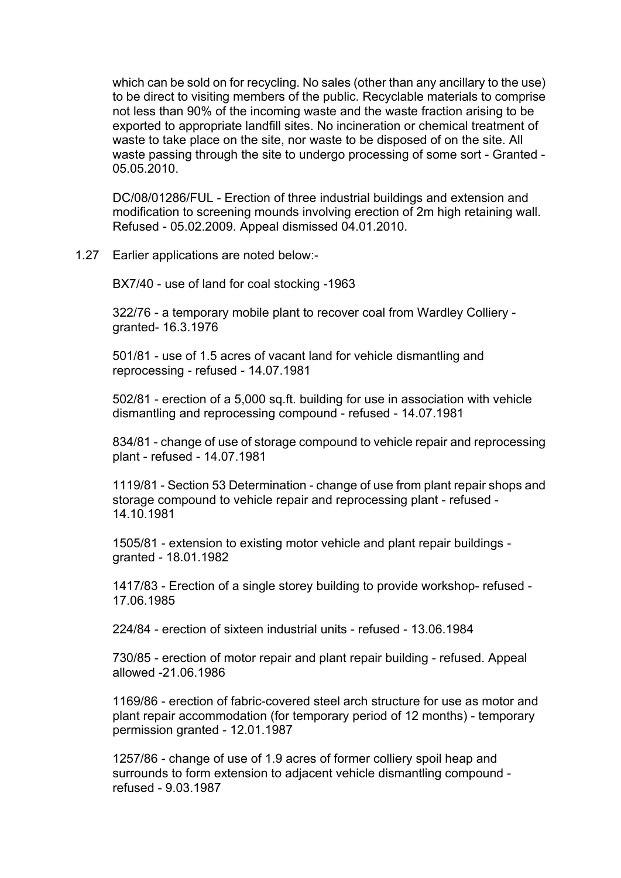which can be sold on for recycling. No sales (other than any ancillary to the use) to be direct to visiting members of the public. Recyclable materials to comprise not less than 90% of the incoming waste and the waste fraction arising to be exported to appropriate landfill sites. No incineration or chemical treatment of waste to take place on the site, nor waste to be disposed of on the site. All waste passing through the site to undergo processing of some sort - Granted - 05.05.2010.

DC/08/01286/FUL - Erection of three industrial buildings and extension and modification to screening mounds involving erection of 2m high retaining wall. Refused - 05.02.2009. Appeal dismissed 04.01.2010.

1.27 Earlier applications are noted below:-

BX7/40 - use of land for coal stocking -1963

322/76 - a temporary mobile plant to recover coal from Wardley Colliery granted- 16.3.1976

501/81 - use of 1.5 acres of vacant land for vehicle dismantling and reprocessing - refused - 14.07.1981

502/81 - erection of a 5,000 sq.ft. building for use in association with vehicle dismantling and reprocessing compound - refused - 14.07.1981

834/81 - change of use of storage compound to vehicle repair and reprocessing plant - refused - 14.07.1981

1119/81 - Section 53 Determination - change of use from plant repair shops and storage compound to vehicle repair and reprocessing plant - refused - 14.10.1981

1505/81 - extension to existing motor vehicle and plant repair buildings granted - 18.01.1982

1417/83 - Erection of a single storey building to provide workshop- refused - 17.06.1985

224/84 - erection of sixteen industrial units - refused - 13.06.1984

730/85 - erection of motor repair and plant repair building - refused. Appeal allowed -21.06.1986

1169/86 - erection of fabric-covered steel arch structure for use as motor and plant repair accommodation (for temporary period of 12 months) - temporary permission granted - 12.01.1987

1257/86 - change of use of 1.9 acres of former colliery spoil heap and surrounds to form extension to adjacent vehicle dismantling compound refused - 9.03.1987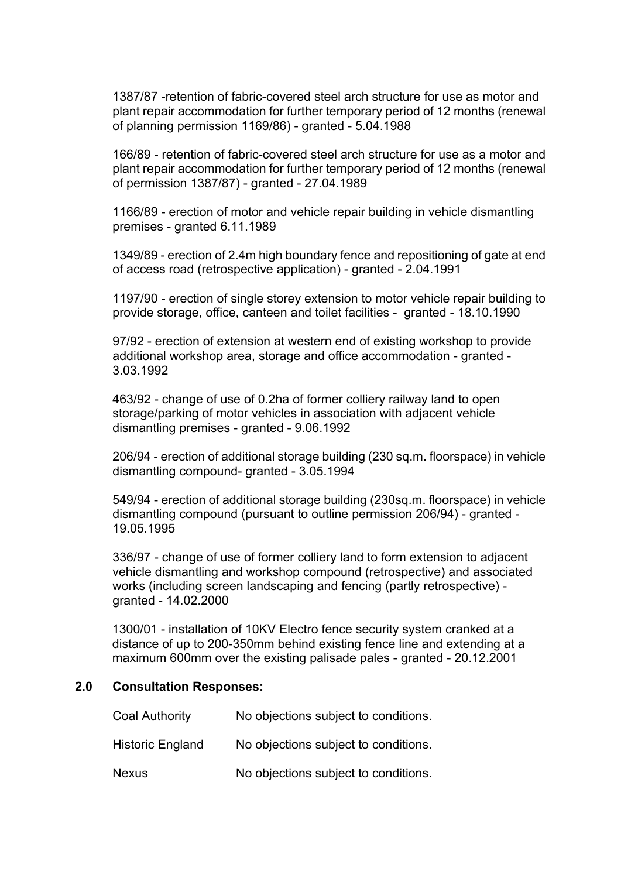1387/87 -retention of fabric-covered steel arch structure for use as motor and plant repair accommodation for further temporary period of 12 months (renewal of planning permission 1169/86) - granted - 5.04.1988

166/89 - retention of fabric-covered steel arch structure for use as a motor and plant repair accommodation for further temporary period of 12 months (renewal of permission 1387/87) - granted - 27.04.1989

1166/89 - erection of motor and vehicle repair building in vehicle dismantling premises - granted 6.11.1989

1349/89 - erection of 2.4m high boundary fence and repositioning of gate at end of access road (retrospective application) - granted - 2.04.1991

1197/90 - erection of single storey extension to motor vehicle repair building to provide storage, office, canteen and toilet facilities - granted - 18.10.1990

97/92 - erection of extension at western end of existing workshop to provide additional workshop area, storage and office accommodation - granted - 3.03.1992

463/92 - change of use of 0.2ha of former colliery railway land to open storage/parking of motor vehicles in association with adjacent vehicle dismantling premises - granted - 9.06.1992

206/94 - erection of additional storage building (230 sq.m. floorspace) in vehicle dismantling compound- granted - 3.05.1994

549/94 - erection of additional storage building (230sq.m. floorspace) in vehicle dismantling compound (pursuant to outline permission 206/94) - granted - 19.05.1995

336/97 - change of use of former colliery land to form extension to adjacent vehicle dismantling and workshop compound (retrospective) and associated works (including screen landscaping and fencing (partly retrospective) granted - 14.02.2000

1300/01 - installation of 10KV Electro fence security system cranked at a distance of up to 200-350mm behind existing fence line and extending at a maximum 600mm over the existing palisade pales - granted - 20.12.2001

#### **2.0 Consultation Responses:**

| <b>Coal Authority</b>   | No objections subject to conditions. |
|-------------------------|--------------------------------------|
| <b>Historic England</b> | No objections subject to conditions. |
| <b>Nexus</b>            | No objections subject to conditions. |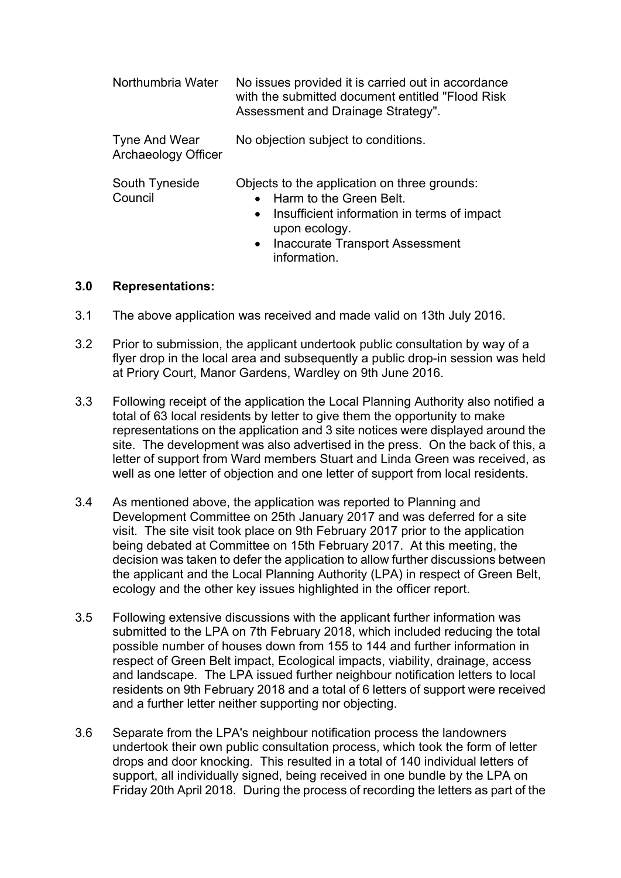| Northumbria Water                           | No issues provided it is carried out in accordance<br>with the submitted document entitled "Flood Risk"<br>Assessment and Drainage Strategy".                                                                               |  |  |
|---------------------------------------------|-----------------------------------------------------------------------------------------------------------------------------------------------------------------------------------------------------------------------------|--|--|
| Tyne And Wear<br><b>Archaeology Officer</b> | No objection subject to conditions.                                                                                                                                                                                         |  |  |
| South Tyneside<br>Council                   | Objects to the application on three grounds:<br>Harm to the Green Belt.<br>Insufficient information in terms of impact<br>$\bullet$<br>upon ecology.<br><b>Inaccurate Transport Assessment</b><br>$\bullet$<br>information. |  |  |

### **3.0 Representations:**

- 3.1 The above application was received and made valid on 13th July 2016.
- 3.2 Prior to submission, the applicant undertook public consultation by way of a flyer drop in the local area and subsequently a public drop-in session was held at Priory Court, Manor Gardens, Wardley on 9th June 2016.
- 3.3 Following receipt of the application the Local Planning Authority also notified a total of 63 local residents by letter to give them the opportunity to make representations on the application and 3 site notices were displayed around the site. The development was also advertised in the press. On the back of this, a letter of support from Ward members Stuart and Linda Green was received, as well as one letter of objection and one letter of support from local residents.
- 3.4 As mentioned above, the application was reported to Planning and Development Committee on 25th January 2017 and was deferred for a site visit. The site visit took place on 9th February 2017 prior to the application being debated at Committee on 15th February 2017. At this meeting, the decision was taken to defer the application to allow further discussions between the applicant and the Local Planning Authority (LPA) in respect of Green Belt, ecology and the other key issues highlighted in the officer report.
- 3.5 Following extensive discussions with the applicant further information was submitted to the LPA on 7th February 2018, which included reducing the total possible number of houses down from 155 to 144 and further information in respect of Green Belt impact, Ecological impacts, viability, drainage, access and landscape. The LPA issued further neighbour notification letters to local residents on 9th February 2018 and a total of 6 letters of support were received and a further letter neither supporting nor objecting.
- 3.6 Separate from the LPA's neighbour notification process the landowners undertook their own public consultation process, which took the form of letter drops and door knocking. This resulted in a total of 140 individual letters of support, all individually signed, being received in one bundle by the LPA on Friday 20th April 2018. During the process of recording the letters as part of the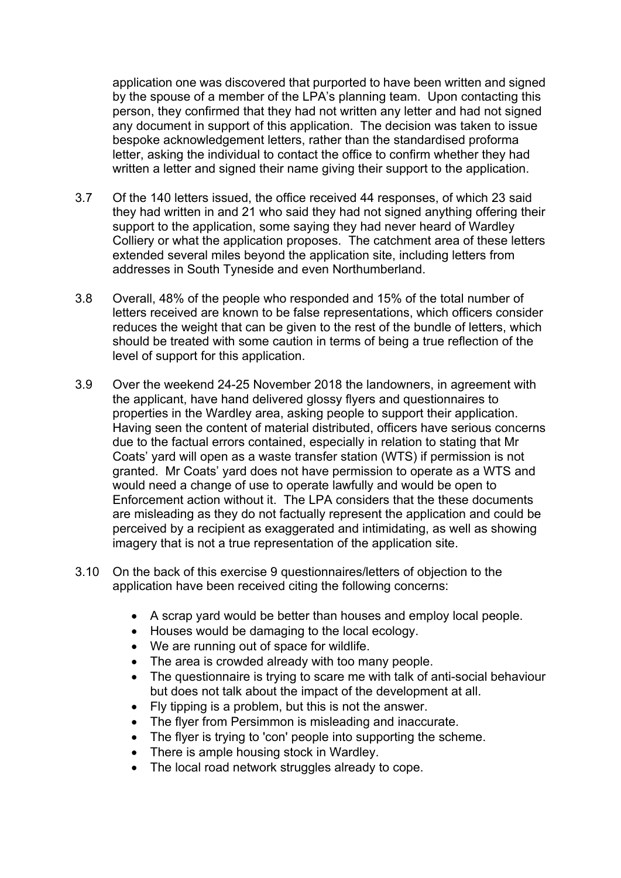application one was discovered that purported to have been written and signed by the spouse of a member of the LPA's planning team. Upon contacting this person, they confirmed that they had not written any letter and had not signed any document in support of this application. The decision was taken to issue bespoke acknowledgement letters, rather than the standardised proforma letter, asking the individual to contact the office to confirm whether they had written a letter and signed their name giving their support to the application.

- 3.7 Of the 140 letters issued, the office received 44 responses, of which 23 said they had written in and 21 who said they had not signed anything offering their support to the application, some saying they had never heard of Wardley Colliery or what the application proposes. The catchment area of these letters extended several miles beyond the application site, including letters from addresses in South Tyneside and even Northumberland.
- 3.8 Overall, 48% of the people who responded and 15% of the total number of letters received are known to be false representations, which officers consider reduces the weight that can be given to the rest of the bundle of letters, which should be treated with some caution in terms of being a true reflection of the level of support for this application.
- 3.9 Over the weekend 24-25 November 2018 the landowners, in agreement with the applicant, have hand delivered glossy flyers and questionnaires to properties in the Wardley area, asking people to support their application. Having seen the content of material distributed, officers have serious concerns due to the factual errors contained, especially in relation to stating that Mr Coats' yard will open as a waste transfer station (WTS) if permission is not granted. Mr Coats' yard does not have permission to operate as a WTS and would need a change of use to operate lawfully and would be open to Enforcement action without it. The LPA considers that the these documents are misleading as they do not factually represent the application and could be perceived by a recipient as exaggerated and intimidating, as well as showing imagery that is not a true representation of the application site.
- 3.10 On the back of this exercise 9 questionnaires/letters of objection to the application have been received citing the following concerns:
	- A scrap yard would be better than houses and employ local people.
	- Houses would be damaging to the local ecology.
	- We are running out of space for wildlife.
	- The area is crowded already with too many people.
	- The questionnaire is trying to scare me with talk of anti-social behaviour but does not talk about the impact of the development at all.
	- Fly tipping is a problem, but this is not the answer.
	- The flyer from Persimmon is misleading and inaccurate.
	- The flyer is trying to 'con' people into supporting the scheme.
	- There is ample housing stock in Wardley.
	- The local road network struggles already to cope.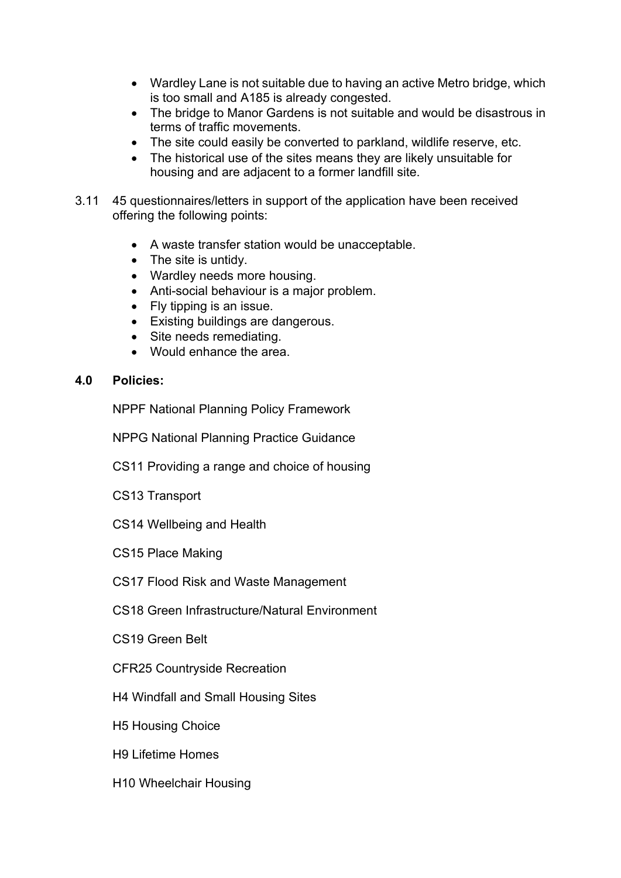- Wardley Lane is not suitable due to having an active Metro bridge, which is too small and A185 is already congested.
- The bridge to Manor Gardens is not suitable and would be disastrous in terms of traffic movements.
- The site could easily be converted to parkland, wildlife reserve, etc.
- The historical use of the sites means they are likely unsuitable for housing and are adjacent to a former landfill site.
- 3.11 45 questionnaires/letters in support of the application have been received offering the following points:
	- A waste transfer station would be unacceptable.
	- The site is untidy.
	- Wardley needs more housing.
	- Anti-social behaviour is a major problem.
	- Fly tipping is an issue.
	- Existing buildings are dangerous.
	- Site needs remediating.
	- Would enhance the area.

## **4.0 Policies:**

NPPF National Planning Policy Framework

NPPG National Planning Practice Guidance

CS11 Providing a range and choice of housing

CS13 Transport

CS14 Wellbeing and Health

CS15 Place Making

CS17 Flood Risk and Waste Management

CS18 Green Infrastructure/Natural Environment

CS19 Green Belt

CFR25 Countryside Recreation

H4 Windfall and Small Housing Sites

H5 Housing Choice

H9 Lifetime Homes

H10 Wheelchair Housing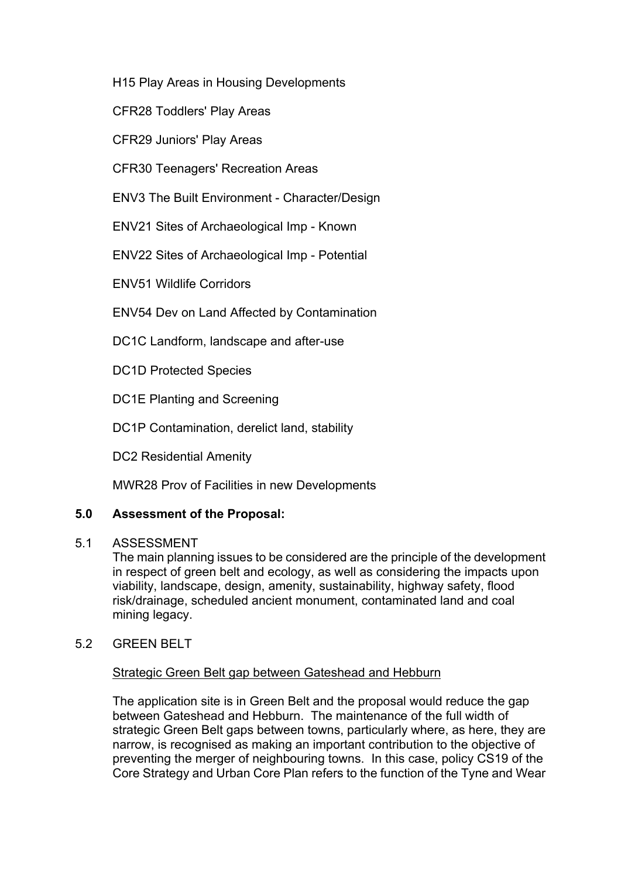H15 Play Areas in Housing Developments

CFR28 Toddlers' Play Areas

CFR29 Juniors' Play Areas

CFR30 Teenagers' Recreation Areas

ENV3 The Built Environment - Character/Design

ENV21 Sites of Archaeological Imp - Known

ENV22 Sites of Archaeological Imp - Potential

ENV51 Wildlife Corridors

ENV54 Dev on Land Affected by Contamination

DC1C Landform, landscape and after-use

DC1D Protected Species

DC1E Planting and Screening

DC1P Contamination, derelict land, stability

DC2 Residential Amenity

MWR28 Prov of Facilities in new Developments

## **5.0 Assessment of the Proposal:**

#### 5.1 ASSESSMENT

The main planning issues to be considered are the principle of the development in respect of green belt and ecology, as well as considering the impacts upon viability, landscape, design, amenity, sustainability, highway safety, flood risk/drainage, scheduled ancient monument, contaminated land and coal mining legacy.

## 5.2 GREEN BELT

## Strategic Green Belt gap between Gateshead and Hebburn

The application site is in Green Belt and the proposal would reduce the gap between Gateshead and Hebburn. The maintenance of the full width of strategic Green Belt gaps between towns, particularly where, as here, they are narrow, is recognised as making an important contribution to the objective of preventing the merger of neighbouring towns. In this case, policy CS19 of the Core Strategy and Urban Core Plan refers to the function of the Tyne and Wear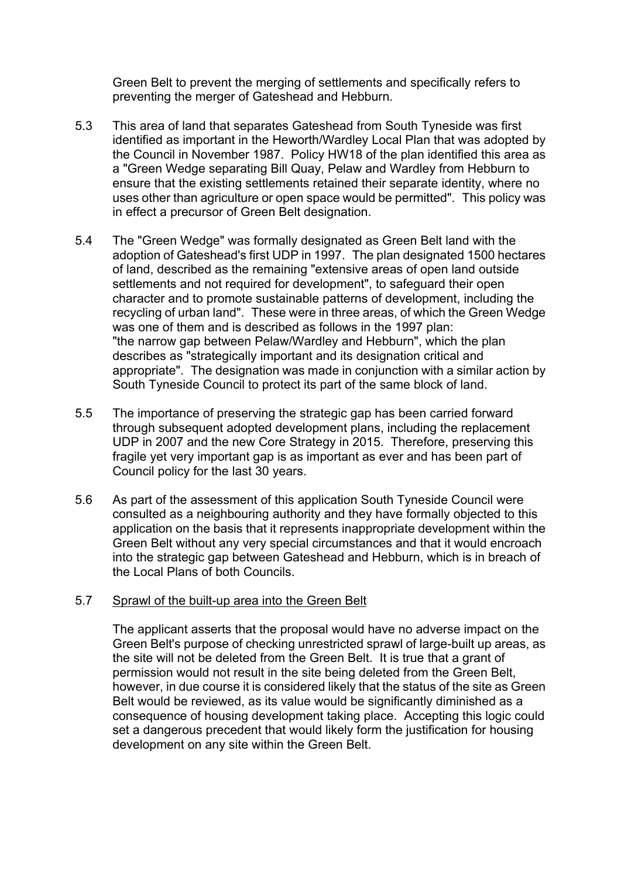Green Belt to prevent the merging of settlements and specifically refers to preventing the merger of Gateshead and Hebburn.

- 5.3 This area of land that separates Gateshead from South Tyneside was first identified as important in the Heworth/Wardley Local Plan that was adopted by the Council in November 1987. Policy HW18 of the plan identified this area as a "Green Wedge separating Bill Quay, Pelaw and Wardley from Hebburn to ensure that the existing settlements retained their separate identity, where no uses other than agriculture or open space would be permitted". This policy was in effect a precursor of Green Belt designation.
- 5.4 The "Green Wedge" was formally designated as Green Belt land with the adoption of Gateshead's first UDP in 1997. The plan designated 1500 hectares of land, described as the remaining "extensive areas of open land outside settlements and not required for development", to safeguard their open character and to promote sustainable patterns of development, including the recycling of urban land". These were in three areas, of which the Green Wedge was one of them and is described as follows in the 1997 plan: "the narrow gap between Pelaw/Wardley and Hebburn", which the plan describes as "strategically important and its designation critical and appropriate". The designation was made in conjunction with a similar action by South Tyneside Council to protect its part of the same block of land.
- 5.5 The importance of preserving the strategic gap has been carried forward through subsequent adopted development plans, including the replacement UDP in 2007 and the new Core Strategy in 2015. Therefore, preserving this fragile yet very important gap is as important as ever and has been part of Council policy for the last 30 years.
- 5.6 As part of the assessment of this application South Tyneside Council were consulted as a neighbouring authority and they have formally objected to this application on the basis that it represents inappropriate development within the Green Belt without any very special circumstances and that it would encroach into the strategic gap between Gateshead and Hebburn, which is in breach of the Local Plans of both Councils.

## 5.7 Sprawl of the built-up area into the Green Belt

The applicant asserts that the proposal would have no adverse impact on the Green Belt's purpose of checking unrestricted sprawl of large-built up areas, as the site will not be deleted from the Green Belt. It is true that a grant of permission would not result in the site being deleted from the Green Belt, however, in due course it is considered likely that the status of the site as Green Belt would be reviewed, as its value would be significantly diminished as a consequence of housing development taking place. Accepting this logic could set a dangerous precedent that would likely form the justification for housing development on any site within the Green Belt.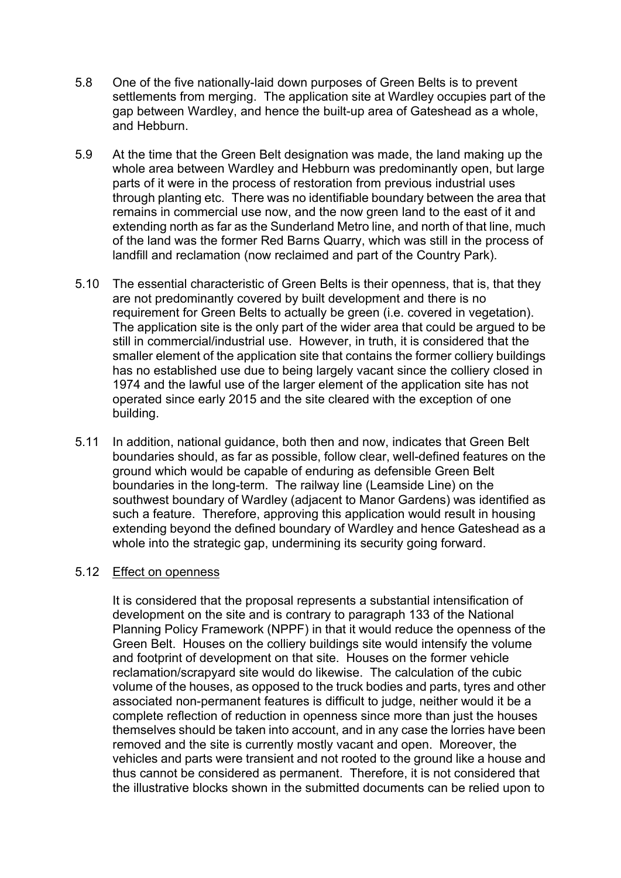- 5.8 One of the five nationally-laid down purposes of Green Belts is to prevent settlements from merging. The application site at Wardley occupies part of the gap between Wardley, and hence the built-up area of Gateshead as a whole, and Hebburn.
- 5.9 At the time that the Green Belt designation was made, the land making up the whole area between Wardley and Hebburn was predominantly open, but large parts of it were in the process of restoration from previous industrial uses through planting etc. There was no identifiable boundary between the area that remains in commercial use now, and the now green land to the east of it and extending north as far as the Sunderland Metro line, and north of that line, much of the land was the former Red Barns Quarry, which was still in the process of landfill and reclamation (now reclaimed and part of the Country Park).
- 5.10 The essential characteristic of Green Belts is their openness, that is, that they are not predominantly covered by built development and there is no requirement for Green Belts to actually be green (i.e. covered in vegetation). The application site is the only part of the wider area that could be argued to be still in commercial/industrial use. However, in truth, it is considered that the smaller element of the application site that contains the former colliery buildings has no established use due to being largely vacant since the colliery closed in 1974 and the lawful use of the larger element of the application site has not operated since early 2015 and the site cleared with the exception of one building.
- 5.11 In addition, national guidance, both then and now, indicates that Green Belt boundaries should, as far as possible, follow clear, well-defined features on the ground which would be capable of enduring as defensible Green Belt boundaries in the long-term. The railway line (Leamside Line) on the southwest boundary of Wardley (adjacent to Manor Gardens) was identified as such a feature. Therefore, approving this application would result in housing extending beyond the defined boundary of Wardley and hence Gateshead as a whole into the strategic gap, undermining its security going forward.

## 5.12 Effect on openness

It is considered that the proposal represents a substantial intensification of development on the site and is contrary to paragraph 133 of the National Planning Policy Framework (NPPF) in that it would reduce the openness of the Green Belt. Houses on the colliery buildings site would intensify the volume and footprint of development on that site. Houses on the former vehicle reclamation/scrapyard site would do likewise. The calculation of the cubic volume of the houses, as opposed to the truck bodies and parts, tyres and other associated non-permanent features is difficult to judge, neither would it be a complete reflection of reduction in openness since more than just the houses themselves should be taken into account, and in any case the lorries have been removed and the site is currently mostly vacant and open. Moreover, the vehicles and parts were transient and not rooted to the ground like a house and thus cannot be considered as permanent. Therefore, it is not considered that the illustrative blocks shown in the submitted documents can be relied upon to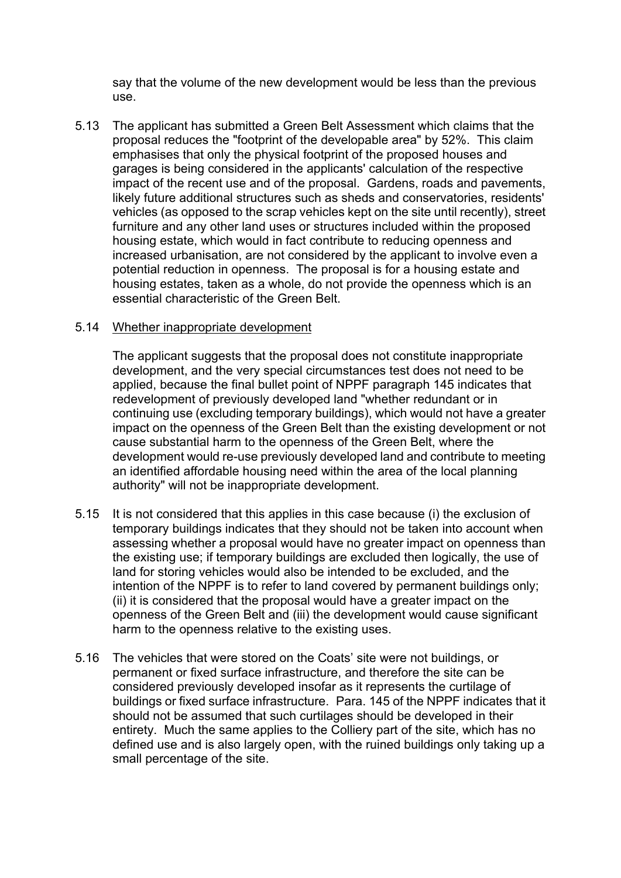say that the volume of the new development would be less than the previous use.

5.13 The applicant has submitted a Green Belt Assessment which claims that the proposal reduces the "footprint of the developable area" by 52%. This claim emphasises that only the physical footprint of the proposed houses and garages is being considered in the applicants' calculation of the respective impact of the recent use and of the proposal. Gardens, roads and pavements, likely future additional structures such as sheds and conservatories, residents' vehicles (as opposed to the scrap vehicles kept on the site until recently), street furniture and any other land uses or structures included within the proposed housing estate, which would in fact contribute to reducing openness and increased urbanisation, are not considered by the applicant to involve even a potential reduction in openness. The proposal is for a housing estate and housing estates, taken as a whole, do not provide the openness which is an essential characteristic of the Green Belt.

### 5.14 Whether inappropriate development

The applicant suggests that the proposal does not constitute inappropriate development, and the very special circumstances test does not need to be applied, because the final bullet point of NPPF paragraph 145 indicates that redevelopment of previously developed land "whether redundant or in continuing use (excluding temporary buildings), which would not have a greater impact on the openness of the Green Belt than the existing development or not cause substantial harm to the openness of the Green Belt, where the development would re-use previously developed land and contribute to meeting an identified affordable housing need within the area of the local planning authority" will not be inappropriate development.

- 5.15 It is not considered that this applies in this case because (i) the exclusion of temporary buildings indicates that they should not be taken into account when assessing whether a proposal would have no greater impact on openness than the existing use; if temporary buildings are excluded then logically, the use of land for storing vehicles would also be intended to be excluded, and the intention of the NPPF is to refer to land covered by permanent buildings only; (ii) it is considered that the proposal would have a greater impact on the openness of the Green Belt and (iii) the development would cause significant harm to the openness relative to the existing uses.
- 5.16 The vehicles that were stored on the Coats' site were not buildings, or permanent or fixed surface infrastructure, and therefore the site can be considered previously developed insofar as it represents the curtilage of buildings or fixed surface infrastructure. Para. 145 of the NPPF indicates that it should not be assumed that such curtilages should be developed in their entirety. Much the same applies to the Colliery part of the site, which has no defined use and is also largely open, with the ruined buildings only taking up a small percentage of the site.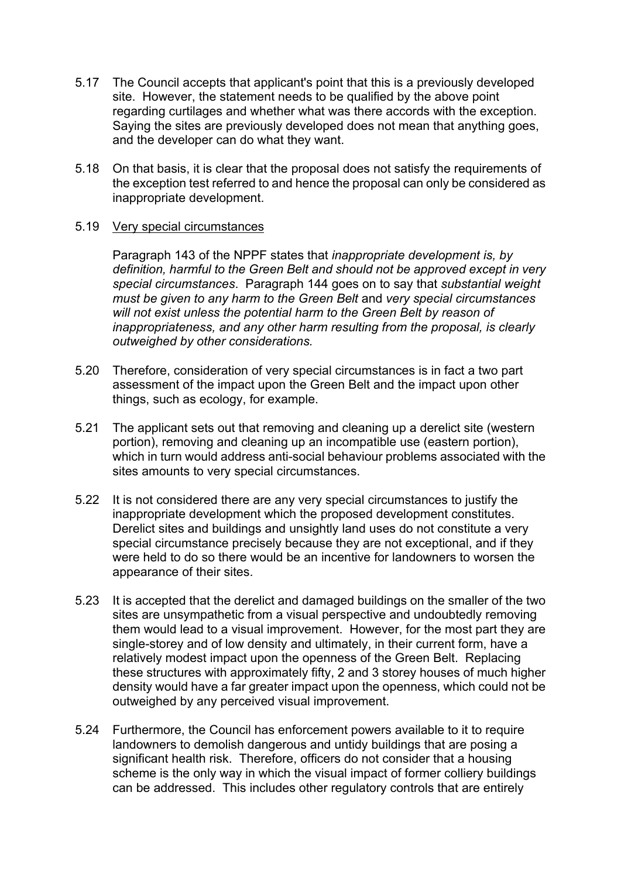- 5.17 The Council accepts that applicant's point that this is a previously developed site. However, the statement needs to be qualified by the above point regarding curtilages and whether what was there accords with the exception. Saying the sites are previously developed does not mean that anything goes, and the developer can do what they want.
- 5.18 On that basis, it is clear that the proposal does not satisfy the requirements of the exception test referred to and hence the proposal can only be considered as inappropriate development.

## 5.19 Very special circumstances

Paragraph 143 of the NPPF states that *inappropriate development is, by definition, harmful to the Green Belt and should not be approved except in very special circumstances*. Paragraph 144 goes on to say that *substantial weight must be given to any harm to the Green Belt* and *very special circumstances will not exist unless the potential harm to the Green Belt by reason of inappropriateness, and any other harm resulting from the proposal, is clearly outweighed by other considerations.*

- 5.20 Therefore, consideration of very special circumstances is in fact a two part assessment of the impact upon the Green Belt and the impact upon other things, such as ecology, for example.
- 5.21 The applicant sets out that removing and cleaning up a derelict site (western portion), removing and cleaning up an incompatible use (eastern portion), which in turn would address anti-social behaviour problems associated with the sites amounts to very special circumstances.
- 5.22 It is not considered there are any very special circumstances to justify the inappropriate development which the proposed development constitutes. Derelict sites and buildings and unsightly land uses do not constitute a very special circumstance precisely because they are not exceptional, and if they were held to do so there would be an incentive for landowners to worsen the appearance of their sites.
- 5.23 It is accepted that the derelict and damaged buildings on the smaller of the two sites are unsympathetic from a visual perspective and undoubtedly removing them would lead to a visual improvement. However, for the most part they are single-storey and of low density and ultimately, in their current form, have a relatively modest impact upon the openness of the Green Belt. Replacing these structures with approximately fifty, 2 and 3 storey houses of much higher density would have a far greater impact upon the openness, which could not be outweighed by any perceived visual improvement.
- 5.24 Furthermore, the Council has enforcement powers available to it to require landowners to demolish dangerous and untidy buildings that are posing a significant health risk. Therefore, officers do not consider that a housing scheme is the only way in which the visual impact of former colliery buildings can be addressed. This includes other regulatory controls that are entirely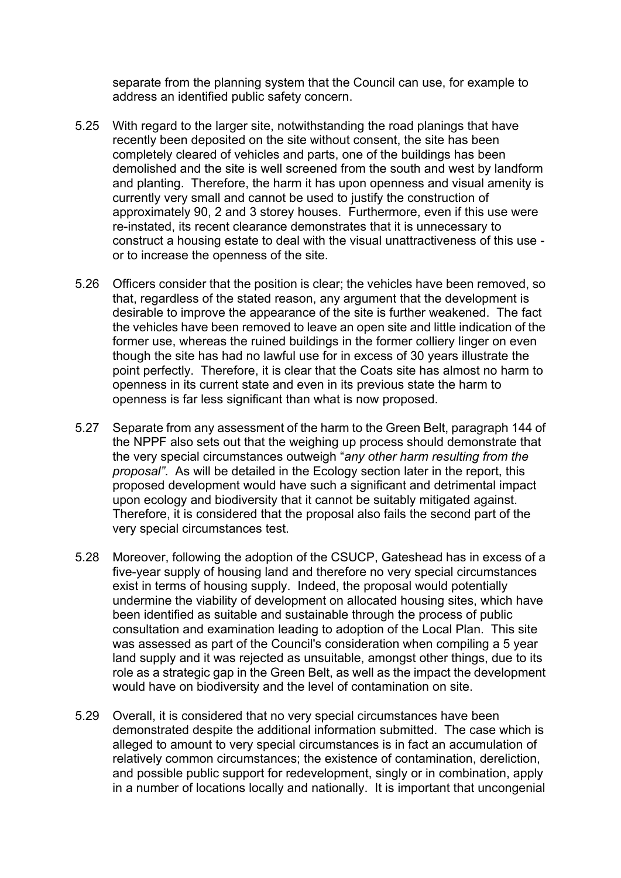separate from the planning system that the Council can use, for example to address an identified public safety concern.

- 5.25 With regard to the larger site, notwithstanding the road planings that have recently been deposited on the site without consent, the site has been completely cleared of vehicles and parts, one of the buildings has been demolished and the site is well screened from the south and west by landform and planting. Therefore, the harm it has upon openness and visual amenity is currently very small and cannot be used to justify the construction of approximately 90, 2 and 3 storey houses. Furthermore, even if this use were re-instated, its recent clearance demonstrates that it is unnecessary to construct a housing estate to deal with the visual unattractiveness of this use or to increase the openness of the site.
- 5.26 Officers consider that the position is clear; the vehicles have been removed, so that, regardless of the stated reason, any argument that the development is desirable to improve the appearance of the site is further weakened. The fact the vehicles have been removed to leave an open site and little indication of the former use, whereas the ruined buildings in the former colliery linger on even though the site has had no lawful use for in excess of 30 years illustrate the point perfectly. Therefore, it is clear that the Coats site has almost no harm to openness in its current state and even in its previous state the harm to openness is far less significant than what is now proposed.
- 5.27 Separate from any assessment of the harm to the Green Belt, paragraph 144 of the NPPF also sets out that the weighing up process should demonstrate that the very special circumstances outweigh "*any other harm resulting from the proposal"*. As will be detailed in the Ecology section later in the report, this proposed development would have such a significant and detrimental impact upon ecology and biodiversity that it cannot be suitably mitigated against. Therefore, it is considered that the proposal also fails the second part of the very special circumstances test.
- 5.28 Moreover, following the adoption of the CSUCP, Gateshead has in excess of a five-year supply of housing land and therefore no very special circumstances exist in terms of housing supply. Indeed, the proposal would potentially undermine the viability of development on allocated housing sites, which have been identified as suitable and sustainable through the process of public consultation and examination leading to adoption of the Local Plan. This site was assessed as part of the Council's consideration when compiling a 5 year land supply and it was rejected as unsuitable, amongst other things, due to its role as a strategic gap in the Green Belt, as well as the impact the development would have on biodiversity and the level of contamination on site.
- 5.29 Overall, it is considered that no very special circumstances have been demonstrated despite the additional information submitted. The case which is alleged to amount to very special circumstances is in fact an accumulation of relatively common circumstances; the existence of contamination, dereliction, and possible public support for redevelopment, singly or in combination, apply in a number of locations locally and nationally. It is important that uncongenial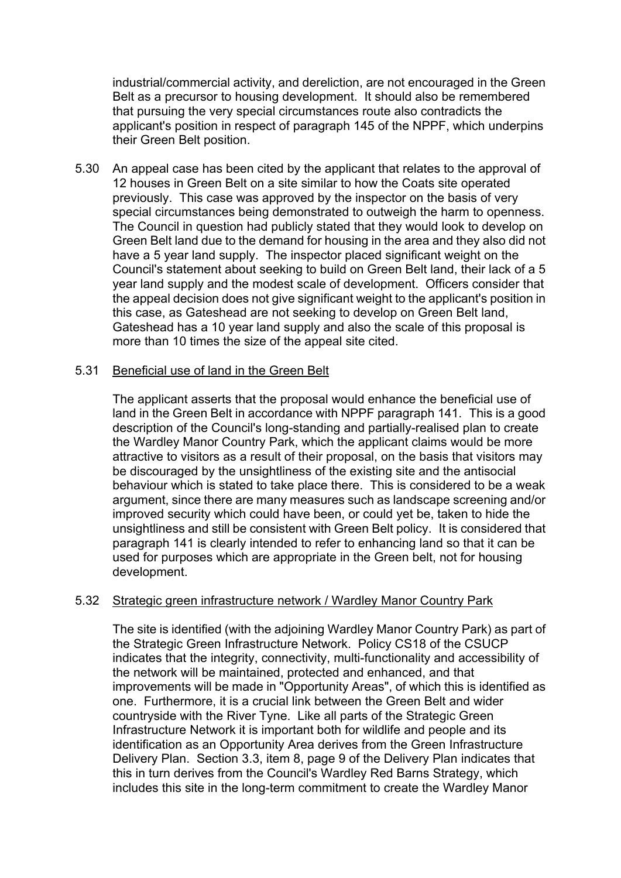industrial/commercial activity, and dereliction, are not encouraged in the Green Belt as a precursor to housing development. It should also be remembered that pursuing the very special circumstances route also contradicts the applicant's position in respect of paragraph 145 of the NPPF, which underpins their Green Belt position.

5.30 An appeal case has been cited by the applicant that relates to the approval of 12 houses in Green Belt on a site similar to how the Coats site operated previously. This case was approved by the inspector on the basis of very special circumstances being demonstrated to outweigh the harm to openness. The Council in question had publicly stated that they would look to develop on Green Belt land due to the demand for housing in the area and they also did not have a 5 year land supply. The inspector placed significant weight on the Council's statement about seeking to build on Green Belt land, their lack of a 5 year land supply and the modest scale of development. Officers consider that the appeal decision does not give significant weight to the applicant's position in this case, as Gateshead are not seeking to develop on Green Belt land, Gateshead has a 10 year land supply and also the scale of this proposal is more than 10 times the size of the appeal site cited.

## 5.31 Beneficial use of land in the Green Belt

The applicant asserts that the proposal would enhance the beneficial use of land in the Green Belt in accordance with NPPF paragraph 141. This is a good description of the Council's long-standing and partially-realised plan to create the Wardley Manor Country Park, which the applicant claims would be more attractive to visitors as a result of their proposal, on the basis that visitors may be discouraged by the unsightliness of the existing site and the antisocial behaviour which is stated to take place there. This is considered to be a weak argument, since there are many measures such as landscape screening and/or improved security which could have been, or could yet be, taken to hide the unsightliness and still be consistent with Green Belt policy. It is considered that paragraph 141 is clearly intended to refer to enhancing land so that it can be used for purposes which are appropriate in the Green belt, not for housing development.

## 5.32 Strategic green infrastructure network / Wardley Manor Country Park

The site is identified (with the adjoining Wardley Manor Country Park) as part of the Strategic Green Infrastructure Network. Policy CS18 of the CSUCP indicates that the integrity, connectivity, multi-functionality and accessibility of the network will be maintained, protected and enhanced, and that improvements will be made in "Opportunity Areas", of which this is identified as one. Furthermore, it is a crucial link between the Green Belt and wider countryside with the River Tyne. Like all parts of the Strategic Green Infrastructure Network it is important both for wildlife and people and its identification as an Opportunity Area derives from the Green Infrastructure Delivery Plan. Section 3.3, item 8, page 9 of the Delivery Plan indicates that this in turn derives from the Council's Wardley Red Barns Strategy, which includes this site in the long-term commitment to create the Wardley Manor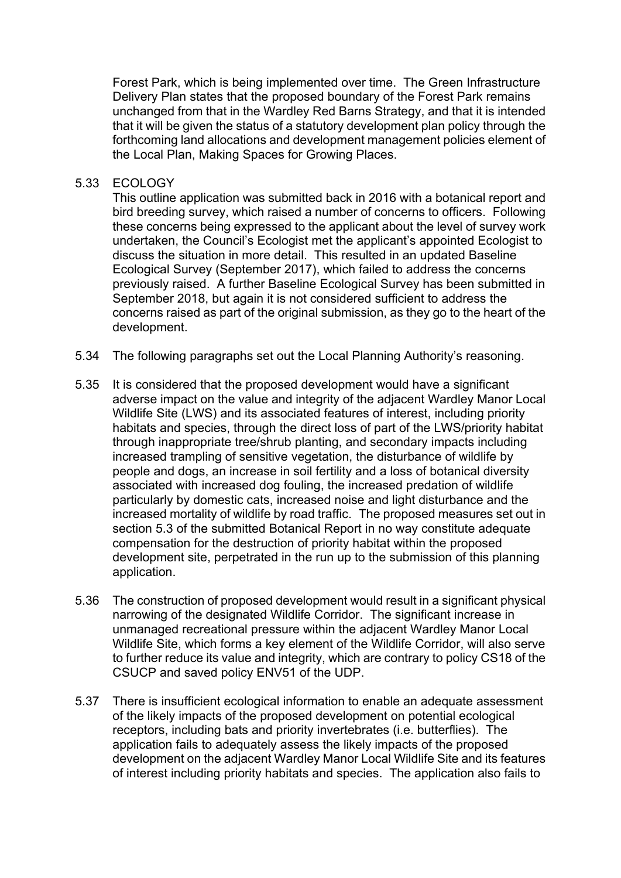Forest Park, which is being implemented over time. The Green Infrastructure Delivery Plan states that the proposed boundary of the Forest Park remains unchanged from that in the Wardley Red Barns Strategy, and that it is intended that it will be given the status of a statutory development plan policy through the forthcoming land allocations and development management policies element of the Local Plan, Making Spaces for Growing Places.

### 5.33 ECOLOGY

This outline application was submitted back in 2016 with a botanical report and bird breeding survey, which raised a number of concerns to officers. Following these concerns being expressed to the applicant about the level of survey work undertaken, the Council's Ecologist met the applicant's appointed Ecologist to discuss the situation in more detail. This resulted in an updated Baseline Ecological Survey (September 2017), which failed to address the concerns previously raised. A further Baseline Ecological Survey has been submitted in September 2018, but again it is not considered sufficient to address the concerns raised as part of the original submission, as they go to the heart of the development.

- 5.34 The following paragraphs set out the Local Planning Authority's reasoning.
- 5.35 It is considered that the proposed development would have a significant adverse impact on the value and integrity of the adjacent Wardley Manor Local Wildlife Site (LWS) and its associated features of interest, including priority habitats and species, through the direct loss of part of the LWS/priority habitat through inappropriate tree/shrub planting, and secondary impacts including increased trampling of sensitive vegetation, the disturbance of wildlife by people and dogs, an increase in soil fertility and a loss of botanical diversity associated with increased dog fouling, the increased predation of wildlife particularly by domestic cats, increased noise and light disturbance and the increased mortality of wildlife by road traffic. The proposed measures set out in section 5.3 of the submitted Botanical Report in no way constitute adequate compensation for the destruction of priority habitat within the proposed development site, perpetrated in the run up to the submission of this planning application.
- 5.36 The construction of proposed development would result in a significant physical narrowing of the designated Wildlife Corridor. The significant increase in unmanaged recreational pressure within the adjacent Wardley Manor Local Wildlife Site, which forms a key element of the Wildlife Corridor, will also serve to further reduce its value and integrity, which are contrary to policy CS18 of the CSUCP and saved policy ENV51 of the UDP.
- 5.37 There is insufficient ecological information to enable an adequate assessment of the likely impacts of the proposed development on potential ecological receptors, including bats and priority invertebrates (i.e. butterflies). The application fails to adequately assess the likely impacts of the proposed development on the adjacent Wardley Manor Local Wildlife Site and its features of interest including priority habitats and species. The application also fails to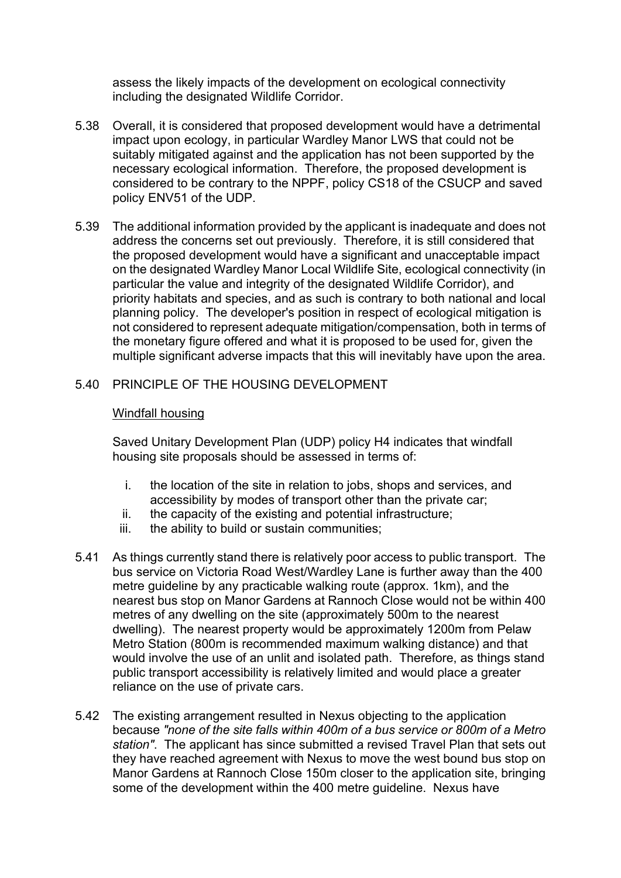assess the likely impacts of the development on ecological connectivity including the designated Wildlife Corridor.

- 5.38 Overall, it is considered that proposed development would have a detrimental impact upon ecology, in particular Wardley Manor LWS that could not be suitably mitigated against and the application has not been supported by the necessary ecological information. Therefore, the proposed development is considered to be contrary to the NPPF, policy CS18 of the CSUCP and saved policy ENV51 of the UDP.
- 5.39 The additional information provided by the applicant is inadequate and does not address the concerns set out previously. Therefore, it is still considered that the proposed development would have a significant and unacceptable impact on the designated Wardley Manor Local Wildlife Site, ecological connectivity (in particular the value and integrity of the designated Wildlife Corridor), and priority habitats and species, and as such is contrary to both national and local planning policy. The developer's position in respect of ecological mitigation is not considered to represent adequate mitigation/compensation, both in terms of the monetary figure offered and what it is proposed to be used for, given the multiple significant adverse impacts that this will inevitably have upon the area.
- 5.40 PRINCIPLE OF THE HOUSING DEVELOPMENT

### Windfall housing

Saved Unitary Development Plan (UDP) policy H4 indicates that windfall housing site proposals should be assessed in terms of:

- i. the location of the site in relation to jobs, shops and services, and accessibility by modes of transport other than the private car;
- ii. the capacity of the existing and potential infrastructure;
- iii. the ability to build or sustain communities;
- 5.41 As things currently stand there is relatively poor access to public transport. The bus service on Victoria Road West/Wardley Lane is further away than the 400 metre guideline by any practicable walking route (approx. 1km), and the nearest bus stop on Manor Gardens at Rannoch Close would not be within 400 metres of any dwelling on the site (approximately 500m to the nearest dwelling). The nearest property would be approximately 1200m from Pelaw Metro Station (800m is recommended maximum walking distance) and that would involve the use of an unlit and isolated path. Therefore, as things stand public transport accessibility is relatively limited and would place a greater reliance on the use of private cars.
- 5.42 The existing arrangement resulted in Nexus objecting to the application because *"none of the site falls within 400m of a bus service or 800m of a Metro station"*. The applicant has since submitted a revised Travel Plan that sets out they have reached agreement with Nexus to move the west bound bus stop on Manor Gardens at Rannoch Close 150m closer to the application site, bringing some of the development within the 400 metre guideline. Nexus have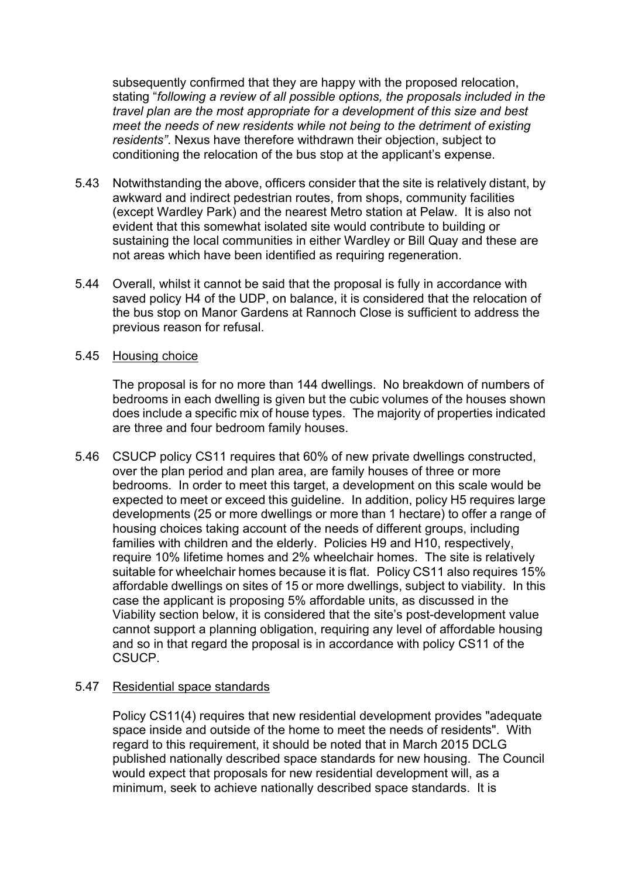subsequently confirmed that they are happy with the proposed relocation, stating "*following a review of all possible options, the proposals included in the travel plan are the most appropriate for a development of this size and best meet the needs of new residents while not being to the detriment of existing residents"*. Nexus have therefore withdrawn their objection, subject to conditioning the relocation of the bus stop at the applicant's expense.

- 5.43 Notwithstanding the above, officers consider that the site is relatively distant, by awkward and indirect pedestrian routes, from shops, community facilities (except Wardley Park) and the nearest Metro station at Pelaw. It is also not evident that this somewhat isolated site would contribute to building or sustaining the local communities in either Wardley or Bill Quay and these are not areas which have been identified as requiring regeneration.
- 5.44 Overall, whilst it cannot be said that the proposal is fully in accordance with saved policy H4 of the UDP, on balance, it is considered that the relocation of the bus stop on Manor Gardens at Rannoch Close is sufficient to address the previous reason for refusal.
- 5.45 Housing choice

The proposal is for no more than 144 dwellings. No breakdown of numbers of bedrooms in each dwelling is given but the cubic volumes of the houses shown does include a specific mix of house types. The majority of properties indicated are three and four bedroom family houses.

5.46 CSUCP policy CS11 requires that 60% of new private dwellings constructed, over the plan period and plan area, are family houses of three or more bedrooms. In order to meet this target, a development on this scale would be expected to meet or exceed this guideline. In addition, policy H5 requires large developments (25 or more dwellings or more than 1 hectare) to offer a range of housing choices taking account of the needs of different groups, including families with children and the elderly. Policies H9 and H10, respectively, require 10% lifetime homes and 2% wheelchair homes. The site is relatively suitable for wheelchair homes because it is flat. Policy CS11 also requires 15% affordable dwellings on sites of 15 or more dwellings, subject to viability. In this case the applicant is proposing 5% affordable units, as discussed in the Viability section below, it is considered that the site's post-development value cannot support a planning obligation, requiring any level of affordable housing and so in that regard the proposal is in accordance with policy CS11 of the CSUCP.

## 5.47 Residential space standards

Policy CS11(4) requires that new residential development provides "adequate space inside and outside of the home to meet the needs of residents". With regard to this requirement, it should be noted that in March 2015 DCLG published nationally described space standards for new housing. The Council would expect that proposals for new residential development will, as a minimum, seek to achieve nationally described space standards. It is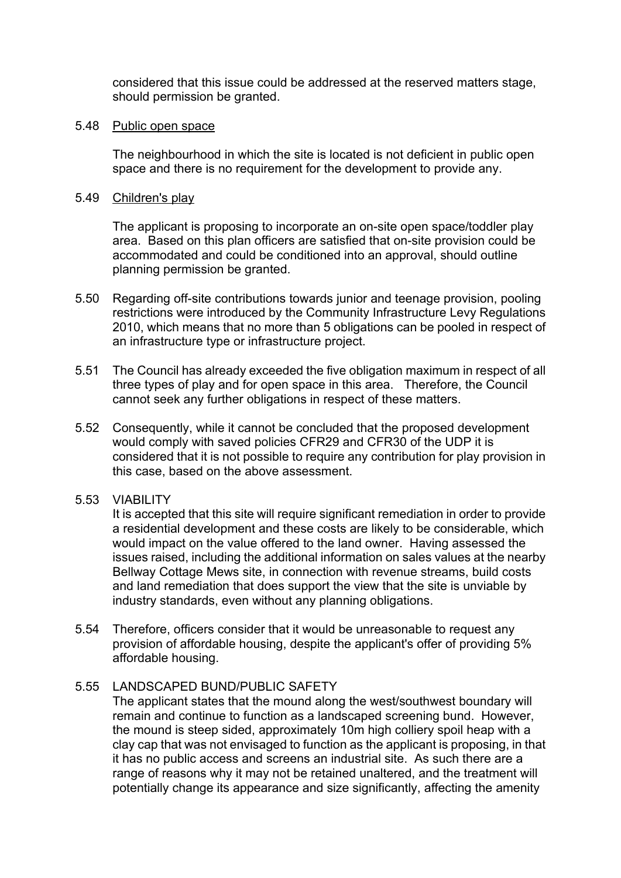considered that this issue could be addressed at the reserved matters stage, should permission be granted.

#### 5.48 Public open space

The neighbourhood in which the site is located is not deficient in public open space and there is no requirement for the development to provide any.

### 5.49 Children's play

The applicant is proposing to incorporate an on-site open space/toddler play area. Based on this plan officers are satisfied that on-site provision could be accommodated and could be conditioned into an approval, should outline planning permission be granted.

- 5.50 Regarding off-site contributions towards junior and teenage provision, pooling restrictions were introduced by the Community Infrastructure Levy Regulations 2010, which means that no more than 5 obligations can be pooled in respect of an infrastructure type or infrastructure project.
- 5.51 The Council has already exceeded the five obligation maximum in respect of all three types of play and for open space in this area. Therefore, the Council cannot seek any further obligations in respect of these matters.
- 5.52 Consequently, while it cannot be concluded that the proposed development would comply with saved policies CFR29 and CFR30 of the UDP it is considered that it is not possible to require any contribution for play provision in this case, based on the above assessment.
- 5.53 VIABILITY

It is accepted that this site will require significant remediation in order to provide a residential development and these costs are likely to be considerable, which would impact on the value offered to the land owner. Having assessed the issues raised, including the additional information on sales values at the nearby Bellway Cottage Mews site, in connection with revenue streams, build costs and land remediation that does support the view that the site is unviable by industry standards, even without any planning obligations.

5.54 Therefore, officers consider that it would be unreasonable to request any provision of affordable housing, despite the applicant's offer of providing 5% affordable housing.

## 5.55 LANDSCAPED BUND/PUBLIC SAFETY

The applicant states that the mound along the west/southwest boundary will remain and continue to function as a landscaped screening bund. However, the mound is steep sided, approximately 10m high colliery spoil heap with a clay cap that was not envisaged to function as the applicant is proposing, in that it has no public access and screens an industrial site. As such there are a range of reasons why it may not be retained unaltered, and the treatment will potentially change its appearance and size significantly, affecting the amenity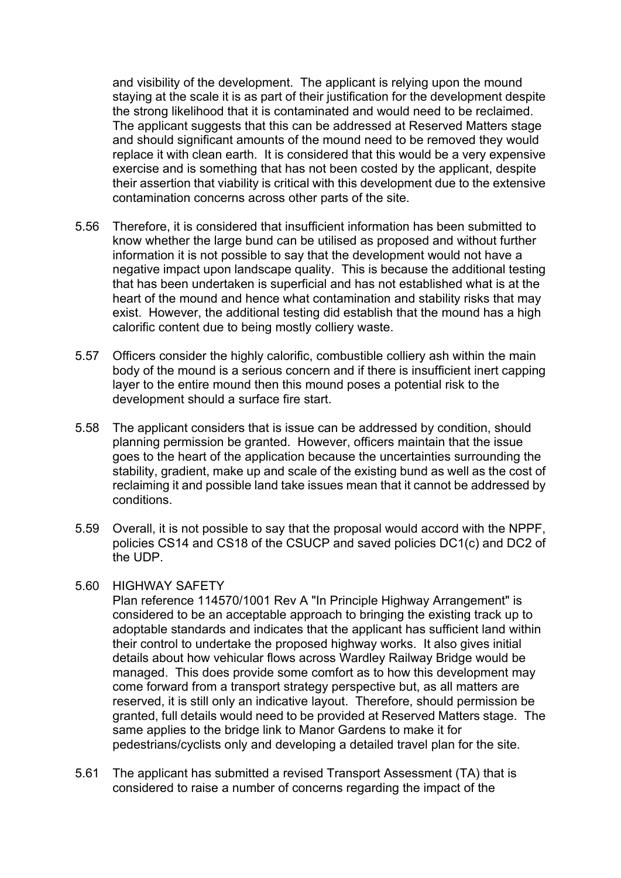and visibility of the development. The applicant is relying upon the mound staying at the scale it is as part of their justification for the development despite the strong likelihood that it is contaminated and would need to be reclaimed. The applicant suggests that this can be addressed at Reserved Matters stage and should significant amounts of the mound need to be removed they would replace it with clean earth. It is considered that this would be a very expensive exercise and is something that has not been costed by the applicant, despite their assertion that viability is critical with this development due to the extensive contamination concerns across other parts of the site.

- 5.56 Therefore, it is considered that insufficient information has been submitted to know whether the large bund can be utilised as proposed and without further information it is not possible to say that the development would not have a negative impact upon landscape quality. This is because the additional testing that has been undertaken is superficial and has not established what is at the heart of the mound and hence what contamination and stability risks that may exist. However, the additional testing did establish that the mound has a high calorific content due to being mostly colliery waste.
- 5.57 Officers consider the highly calorific, combustible colliery ash within the main body of the mound is a serious concern and if there is insufficient inert capping layer to the entire mound then this mound poses a potential risk to the development should a surface fire start.
- 5.58 The applicant considers that is issue can be addressed by condition, should planning permission be granted. However, officers maintain that the issue goes to the heart of the application because the uncertainties surrounding the stability, gradient, make up and scale of the existing bund as well as the cost of reclaiming it and possible land take issues mean that it cannot be addressed by conditions.
- 5.59 Overall, it is not possible to say that the proposal would accord with the NPPF, policies CS14 and CS18 of the CSUCP and saved policies DC1(c) and DC2 of the UDP.

#### 5.60 HIGHWAY SAFETY

Plan reference 114570/1001 Rev A "In Principle Highway Arrangement" is considered to be an acceptable approach to bringing the existing track up to adoptable standards and indicates that the applicant has sufficient land within their control to undertake the proposed highway works. It also gives initial details about how vehicular flows across Wardley Railway Bridge would be managed. This does provide some comfort as to how this development may come forward from a transport strategy perspective but, as all matters are reserved, it is still only an indicative layout. Therefore, should permission be granted, full details would need to be provided at Reserved Matters stage. The same applies to the bridge link to Manor Gardens to make it for pedestrians/cyclists only and developing a detailed travel plan for the site.

5.61 The applicant has submitted a revised Transport Assessment (TA) that is considered to raise a number of concerns regarding the impact of the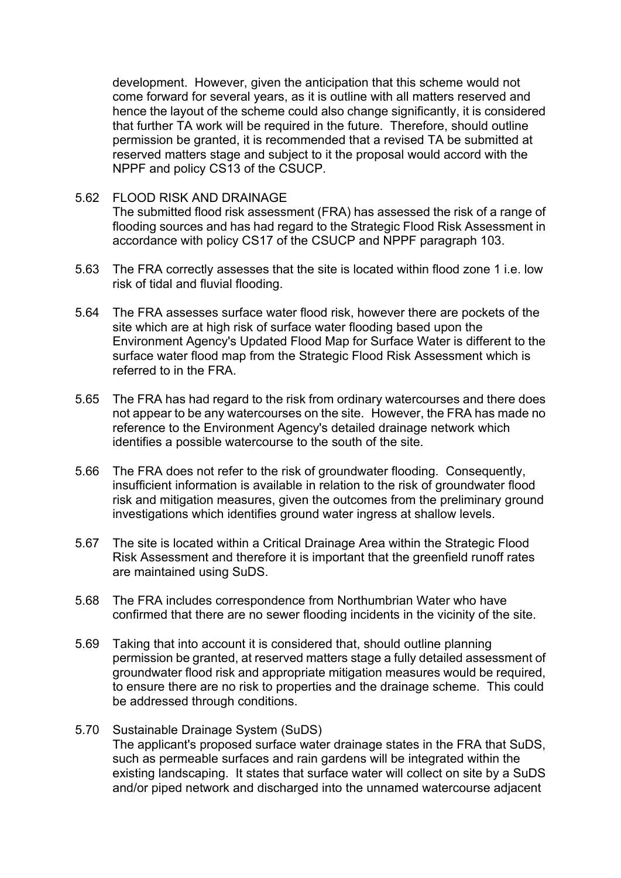development. However, given the anticipation that this scheme would not come forward for several years, as it is outline with all matters reserved and hence the layout of the scheme could also change significantly, it is considered that further TA work will be required in the future. Therefore, should outline permission be granted, it is recommended that a revised TA be submitted at reserved matters stage and subject to it the proposal would accord with the NPPF and policy CS13 of the CSUCP.

- 5.62 FLOOD RISK AND DRAINAGE The submitted flood risk assessment (FRA) has assessed the risk of a range of flooding sources and has had regard to the Strategic Flood Risk Assessment in accordance with policy CS17 of the CSUCP and NPPF paragraph 103.
- 5.63 The FRA correctly assesses that the site is located within flood zone 1 i.e. low risk of tidal and fluvial flooding.
- 5.64 The FRA assesses surface water flood risk, however there are pockets of the site which are at high risk of surface water flooding based upon the Environment Agency's Updated Flood Map for Surface Water is different to the surface water flood map from the Strategic Flood Risk Assessment which is referred to in the FRA.
- 5.65 The FRA has had regard to the risk from ordinary watercourses and there does not appear to be any watercourses on the site. However, the FRA has made no reference to the Environment Agency's detailed drainage network which identifies a possible watercourse to the south of the site.
- 5.66 The FRA does not refer to the risk of groundwater flooding. Consequently, insufficient information is available in relation to the risk of groundwater flood risk and mitigation measures, given the outcomes from the preliminary ground investigations which identifies ground water ingress at shallow levels.
- 5.67 The site is located within a Critical Drainage Area within the Strategic Flood Risk Assessment and therefore it is important that the greenfield runoff rates are maintained using SuDS.
- 5.68 The FRA includes correspondence from Northumbrian Water who have confirmed that there are no sewer flooding incidents in the vicinity of the site.
- 5.69 Taking that into account it is considered that, should outline planning permission be granted, at reserved matters stage a fully detailed assessment of groundwater flood risk and appropriate mitigation measures would be required, to ensure there are no risk to properties and the drainage scheme. This could be addressed through conditions.
- 5.70 Sustainable Drainage System (SuDS) The applicant's proposed surface water drainage states in the FRA that SuDS, such as permeable surfaces and rain gardens will be integrated within the existing landscaping. It states that surface water will collect on site by a SuDS and/or piped network and discharged into the unnamed watercourse adjacent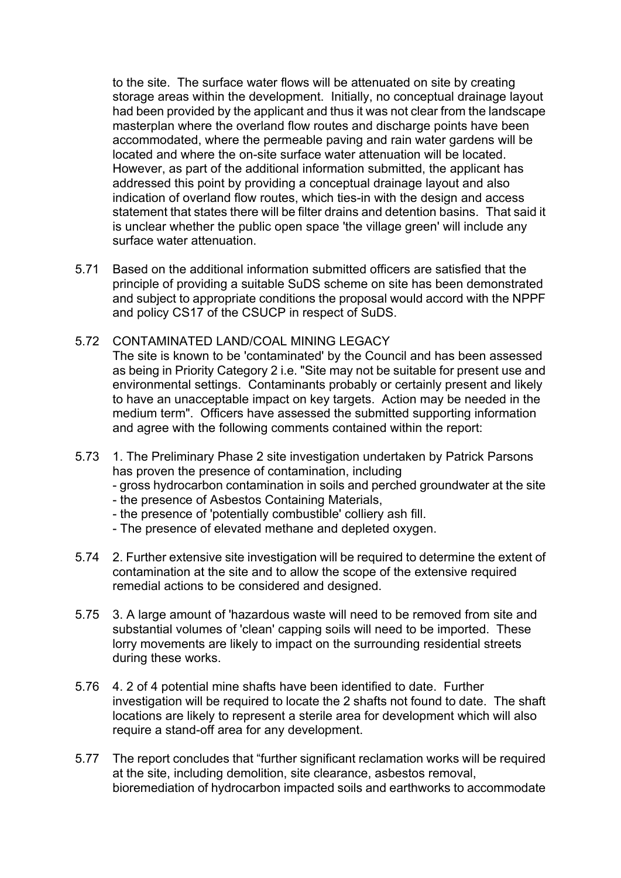to the site. The surface water flows will be attenuated on site by creating storage areas within the development. Initially, no conceptual drainage layout had been provided by the applicant and thus it was not clear from the landscape masterplan where the overland flow routes and discharge points have been accommodated, where the permeable paving and rain water gardens will be located and where the on-site surface water attenuation will be located. However, as part of the additional information submitted, the applicant has addressed this point by providing a conceptual drainage layout and also indication of overland flow routes, which ties-in with the design and access statement that states there will be filter drains and detention basins. That said it is unclear whether the public open space 'the village green' will include any surface water attenuation.

- 5.71 Based on the additional information submitted officers are satisfied that the principle of providing a suitable SuDS scheme on site has been demonstrated and subject to appropriate conditions the proposal would accord with the NPPF and policy CS17 of the CSUCP in respect of SuDS.
- 5.72 CONTAMINATED LAND/COAL MINING LEGACY

The site is known to be 'contaminated' by the Council and has been assessed as being in Priority Category 2 i.e. "Site may not be suitable for present use and environmental settings. Contaminants probably or certainly present and likely to have an unacceptable impact on key targets. Action may be needed in the medium term". Officers have assessed the submitted supporting information and agree with the following comments contained within the report:

5.73 1. The Preliminary Phase 2 site investigation undertaken by Patrick Parsons has proven the presence of contamination, including

- gross hydrocarbon contamination in soils and perched groundwater at the site

- the presence of Asbestos Containing Materials,
- the presence of 'potentially combustible' colliery ash fill.
- The presence of elevated methane and depleted oxygen.
- 5.74 2. Further extensive site investigation will be required to determine the extent of contamination at the site and to allow the scope of the extensive required remedial actions to be considered and designed.
- 5.75 3. A large amount of 'hazardous waste will need to be removed from site and substantial volumes of 'clean' capping soils will need to be imported. These lorry movements are likely to impact on the surrounding residential streets during these works.
- 5.76 4. 2 of 4 potential mine shafts have been identified to date. Further investigation will be required to locate the 2 shafts not found to date. The shaft locations are likely to represent a sterile area for development which will also require a stand-off area for any development.
- 5.77 The report concludes that "further significant reclamation works will be required at the site, including demolition, site clearance, asbestos removal, bioremediation of hydrocarbon impacted soils and earthworks to accommodate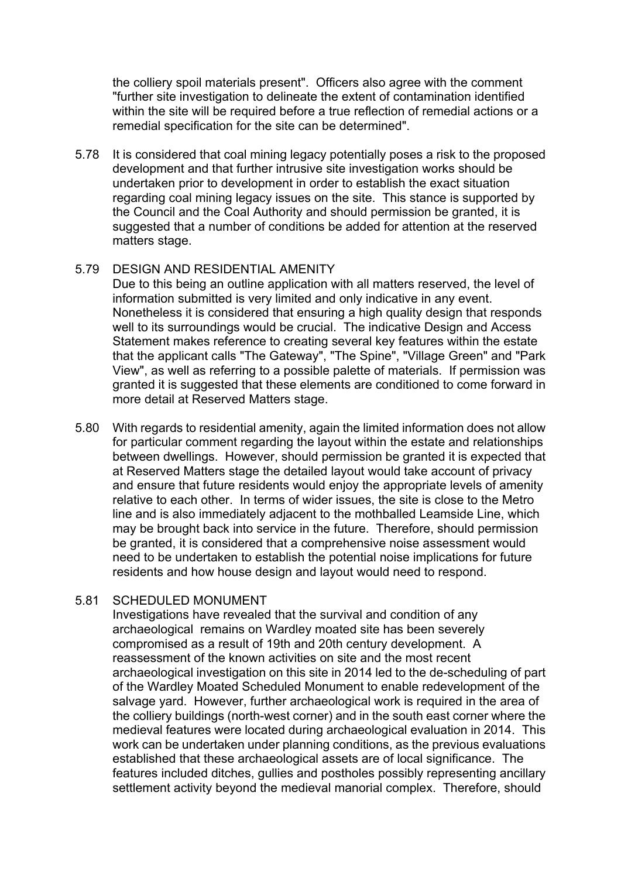the colliery spoil materials present". Officers also agree with the comment "further site investigation to delineate the extent of contamination identified within the site will be required before a true reflection of remedial actions or a remedial specification for the site can be determined".

5.78 It is considered that coal mining legacy potentially poses a risk to the proposed development and that further intrusive site investigation works should be undertaken prior to development in order to establish the exact situation regarding coal mining legacy issues on the site. This stance is supported by the Council and the Coal Authority and should permission be granted, it is suggested that a number of conditions be added for attention at the reserved matters stage.

## 5.79 DESIGN AND RESIDENTIAL AMENITY

Due to this being an outline application with all matters reserved, the level of information submitted is very limited and only indicative in any event. Nonetheless it is considered that ensuring a high quality design that responds well to its surroundings would be crucial. The indicative Design and Access Statement makes reference to creating several key features within the estate that the applicant calls "The Gateway", "The Spine", "Village Green" and "Park View", as well as referring to a possible palette of materials. If permission was granted it is suggested that these elements are conditioned to come forward in more detail at Reserved Matters stage.

5.80 With regards to residential amenity, again the limited information does not allow for particular comment regarding the layout within the estate and relationships between dwellings. However, should permission be granted it is expected that at Reserved Matters stage the detailed layout would take account of privacy and ensure that future residents would enjoy the appropriate levels of amenity relative to each other. In terms of wider issues, the site is close to the Metro line and is also immediately adjacent to the mothballed Leamside Line, which may be brought back into service in the future. Therefore, should permission be granted, it is considered that a comprehensive noise assessment would need to be undertaken to establish the potential noise implications for future residents and how house design and layout would need to respond.

## 5.81 SCHEDULED MONUMENT

Investigations have revealed that the survival and condition of any archaeological remains on Wardley moated site has been severely compromised as a result of 19th and 20th century development. A reassessment of the known activities on site and the most recent archaeological investigation on this site in 2014 led to the de-scheduling of part of the Wardley Moated Scheduled Monument to enable redevelopment of the salvage yard. However, further archaeological work is required in the area of the colliery buildings (north-west corner) and in the south east corner where the medieval features were located during archaeological evaluation in 2014. This work can be undertaken under planning conditions, as the previous evaluations established that these archaeological assets are of local significance. The features included ditches, gullies and postholes possibly representing ancillary settlement activity beyond the medieval manorial complex. Therefore, should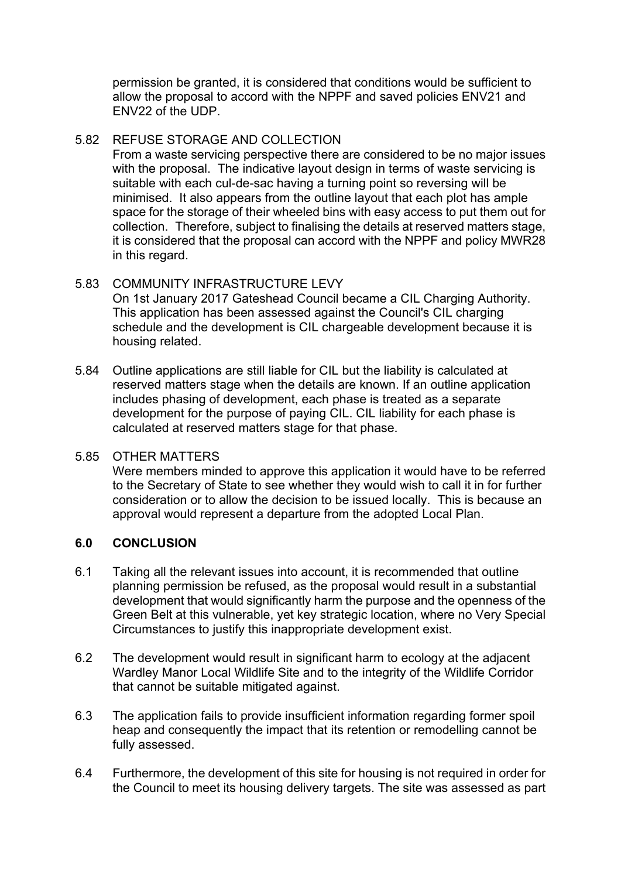permission be granted, it is considered that conditions would be sufficient to allow the proposal to accord with the NPPF and saved policies ENV21 and ENV22 of the UDP.

# 5.82 REFUSE STORAGE AND COLLECTION

From a waste servicing perspective there are considered to be no major issues with the proposal. The indicative layout design in terms of waste servicing is suitable with each cul-de-sac having a turning point so reversing will be minimised. It also appears from the outline layout that each plot has ample space for the storage of their wheeled bins with easy access to put them out for collection. Therefore, subject to finalising the details at reserved matters stage, it is considered that the proposal can accord with the NPPF and policy MWR28 in this regard.

## 5.83 COMMUNITY INFRASTRUCTURE LEVY

On 1st January 2017 Gateshead Council became a CIL Charging Authority. This application has been assessed against the Council's CIL charging schedule and the development is CIL chargeable development because it is housing related.

5.84 Outline applications are still liable for CIL but the liability is calculated at reserved matters stage when the details are known. If an outline application includes phasing of development, each phase is treated as a separate development for the purpose of paying CIL. CIL liability for each phase is calculated at reserved matters stage for that phase.

## 5.85 OTHER MATTERS

Were members minded to approve this application it would have to be referred to the Secretary of State to see whether they would wish to call it in for further consideration or to allow the decision to be issued locally. This is because an approval would represent a departure from the adopted Local Plan.

## **6.0 CONCLUSION**

- 6.1 Taking all the relevant issues into account, it is recommended that outline planning permission be refused, as the proposal would result in a substantial development that would significantly harm the purpose and the openness of the Green Belt at this vulnerable, yet key strategic location, where no Very Special Circumstances to justify this inappropriate development exist.
- 6.2 The development would result in significant harm to ecology at the adjacent Wardley Manor Local Wildlife Site and to the integrity of the Wildlife Corridor that cannot be suitable mitigated against.
- 6.3 The application fails to provide insufficient information regarding former spoil heap and consequently the impact that its retention or remodelling cannot be fully assessed.
- 6.4 Furthermore, the development of this site for housing is not required in order for the Council to meet its housing delivery targets. The site was assessed as part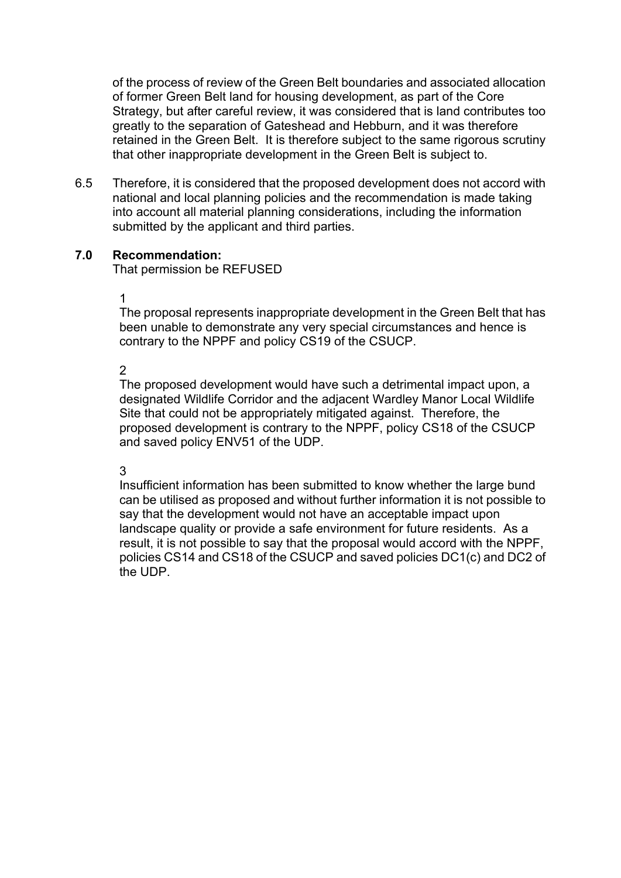of the process of review of the Green Belt boundaries and associated allocation of former Green Belt land for housing development, as part of the Core Strategy, but after careful review, it was considered that is land contributes too greatly to the separation of Gateshead and Hebburn, and it was therefore retained in the Green Belt. It is therefore subject to the same rigorous scrutiny that other inappropriate development in the Green Belt is subject to.

6.5 Therefore, it is considered that the proposed development does not accord with national and local planning policies and the recommendation is made taking into account all material planning considerations, including the information submitted by the applicant and third parties.

### **7.0 Recommendation:**

That permission be REFUSED

1

The proposal represents inappropriate development in the Green Belt that has been unable to demonstrate any very special circumstances and hence is contrary to the NPPF and policy CS19 of the CSUCP.

 $\mathfrak{p}$ 

The proposed development would have such a detrimental impact upon, a designated Wildlife Corridor and the adjacent Wardley Manor Local Wildlife Site that could not be appropriately mitigated against. Therefore, the proposed development is contrary to the NPPF, policy CS18 of the CSUCP and saved policy ENV51 of the UDP.

## 3

Insufficient information has been submitted to know whether the large bund can be utilised as proposed and without further information it is not possible to say that the development would not have an acceptable impact upon landscape quality or provide a safe environment for future residents. As a result, it is not possible to say that the proposal would accord with the NPPF, policies CS14 and CS18 of the CSUCP and saved policies DC1(c) and DC2 of the UDP.